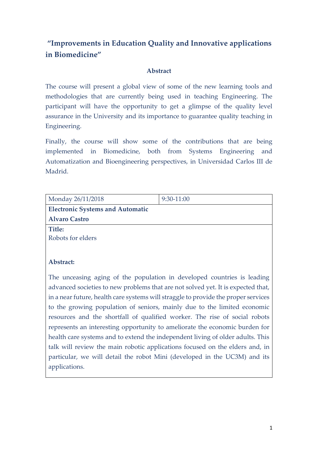# **"Improvements in Education Quality and Innovative applications in Biomedicine"**

# **Abstract**

The course will present a global view of some of the new learning tools and methodologies that are currently being used in teaching Engineering. The participant will have the opportunity to get a glimpse of the quality level assurance in the University and its importance to guarantee quality teaching in Engineering.

Finally, the course will show some of the contributions that are being implemented in Biomedicine, both from Systems Engineering and Automatization and Bioengineering perspectives, in Universidad Carlos III de Madrid.

| Monday 26/11/2018                       | 9:30-11:00 |  |
|-----------------------------------------|------------|--|
| <b>Electronic Systems and Automatic</b> |            |  |
| <b>Alvaro Castro</b>                    |            |  |
| <b>Title:</b>                           |            |  |
| Robots for elders                       |            |  |
|                                         |            |  |
|                                         |            |  |

# **Abstract:**

The unceasing aging of the population in developed countries is leading advanced societies to new problems that are not solved yet. It is expected that, in a near future, health care systems will straggle to provide the proper services to the growing population of seniors, mainly due to the limited economic resources and the shortfall of qualified worker. The rise of social robots represents an interesting opportunity to ameliorate the economic burden for health care systems and to extend the independent living of older adults. This talk will review the main robotic applications focused on the elders and, in particular, we will detail the robot Mini (developed in the UC3M) and its applications.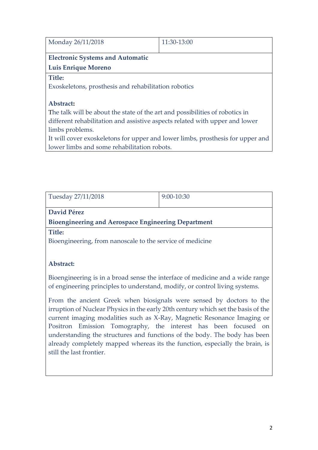11:30-13:00

# **Electronic Systems and Automatic**

**Luis Enrique Moreno**

## **Title:**

Exoskeletons, prosthesis and rehabilitation robotics

# **Abstract:**

The talk will be about the state of the art and possibilities of robotics in different rehabilitation and assistive aspects related with upper and lower limbs problems.

It will cover exoskeletons for upper and lower limbs, prosthesis for upper and lower limbs and some rehabilitation robots.

| Tuesday 27/11/2018                                                                                                                                                                                                                                                                                                                                                                                                                                                                              | 9:00-10:30 |  |
|-------------------------------------------------------------------------------------------------------------------------------------------------------------------------------------------------------------------------------------------------------------------------------------------------------------------------------------------------------------------------------------------------------------------------------------------------------------------------------------------------|------------|--|
| <b>David Pérez</b>                                                                                                                                                                                                                                                                                                                                                                                                                                                                              |            |  |
| <b>Bioengineering and Aerospace Engineering Department</b>                                                                                                                                                                                                                                                                                                                                                                                                                                      |            |  |
| <b>Title:</b>                                                                                                                                                                                                                                                                                                                                                                                                                                                                                   |            |  |
| Bioengineering, from nanoscale to the service of medicine                                                                                                                                                                                                                                                                                                                                                                                                                                       |            |  |
|                                                                                                                                                                                                                                                                                                                                                                                                                                                                                                 |            |  |
| Abstract:                                                                                                                                                                                                                                                                                                                                                                                                                                                                                       |            |  |
| Bioengineering is in a broad sense the interface of medicine and a wide range<br>of engineering principles to understand, modify, or control living systems.                                                                                                                                                                                                                                                                                                                                    |            |  |
| From the ancient Greek when biosignals were sensed by doctors to the<br>irruption of Nuclear Physics in the early 20th century which set the basis of the<br>current imaging modalities such as X-Ray, Magnetic Resonance Imaging or<br>Positron Emission Tomography, the interest has been focused on<br>understanding the structures and functions of the body. The body has been<br>already completely mapped whereas its the function, especially the brain, is<br>still the last frontier. |            |  |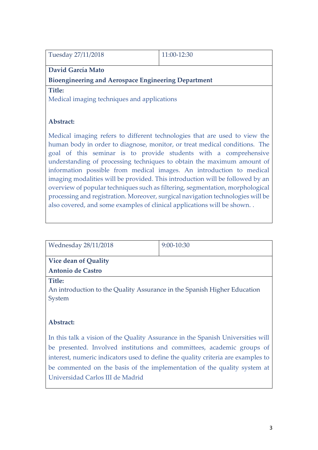| Tuesday 27/11/2018                                         | $11:00-12:30$ |  |
|------------------------------------------------------------|---------------|--|
| David García Mato                                          |               |  |
| <b>Bioengineering and Aerospace Engineering Department</b> |               |  |

#### **Title:**

Medical imaging techniques and applications

## **Abstract:**

Medical imaging refers to different technologies that are used to view the human body in order to diagnose, monitor, or treat medical conditions. The goal of this seminar is to provide students with a comprehensive understanding of processing techniques to obtain the maximum amount of information possible from medical images. An introduction to medical imaging modalities will be provided. This introduction will be followed by an overview of popular techniques such as filtering, segmentation, morphological processing and registration. Moreover, surgical navigation technologies will be also covered, and some examples of clinical applications will be shown. .

| Wednesday 28/11/2018                                                     | $9:00-10:30$ |  |
|--------------------------------------------------------------------------|--------------|--|
|                                                                          |              |  |
| Vice dean of Quality                                                     |              |  |
| <b>Antonio de Castro</b>                                                 |              |  |
| Title:                                                                   |              |  |
| An introduction to the Quality Assurance in the Spanish Higher Education |              |  |
| System                                                                   |              |  |
|                                                                          |              |  |

## **Abstract:**

In this talk a vision of the Quality Assurance in the Spanish Universities will be presented. Involved institutions and committees, academic groups of interest, numeric indicators used to define the quality criteria are examples to be commented on the basis of the implementation of the quality system at Universidad Carlos III de Madrid